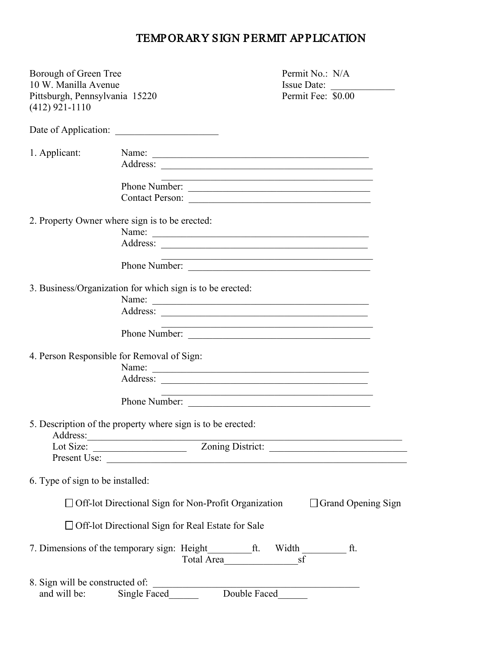## TEMPORARY SIGN PERMIT APPLICATION

| Borough of Green Tree<br>10 W. Manilla Avenue      |                                                                                                                                                                    |                                                                                                                      | Permit No.: N/A<br>Issue Date: |
|----------------------------------------------------|--------------------------------------------------------------------------------------------------------------------------------------------------------------------|----------------------------------------------------------------------------------------------------------------------|--------------------------------|
| Pittsburgh, Pennsylvania 15220<br>$(412)$ 921-1110 |                                                                                                                                                                    |                                                                                                                      | Permit Fee: \$0.00             |
|                                                    | Date of Application:                                                                                                                                               |                                                                                                                      |                                |
| 1. Applicant:                                      | Name:                                                                                                                                                              |                                                                                                                      |                                |
|                                                    |                                                                                                                                                                    |                                                                                                                      |                                |
|                                                    | Phone Number:                                                                                                                                                      | <u> 1990 - Paris Paris II, prima politika (m. 1900)</u>                                                              |                                |
|                                                    | Contact Person:                                                                                                                                                    |                                                                                                                      |                                |
|                                                    | 2. Property Owner where sign is to be erected:                                                                                                                     |                                                                                                                      |                                |
|                                                    | Name: Name:                                                                                                                                                        |                                                                                                                      |                                |
|                                                    |                                                                                                                                                                    |                                                                                                                      |                                |
|                                                    | Phone Number:                                                                                                                                                      | <u> 1999 - Johann John Harry Hermen, mars eta erromaniar eta erromania eta erromania eta erromania eta erromania</u> |                                |
|                                                    | 3. Business/Organization for which sign is to be erected:                                                                                                          |                                                                                                                      |                                |
|                                                    | Name:                                                                                                                                                              |                                                                                                                      |                                |
|                                                    | Address:                                                                                                                                                           |                                                                                                                      |                                |
|                                                    | Phone Number:                                                                                                                                                      |                                                                                                                      |                                |
| 4. Person Responsible for Removal of Sign:         |                                                                                                                                                                    |                                                                                                                      |                                |
|                                                    | Name:                                                                                                                                                              |                                                                                                                      |                                |
|                                                    |                                                                                                                                                                    |                                                                                                                      |                                |
|                                                    | Phone Number:                                                                                                                                                      | and the control of the control of the control of the control of the control of the control of                        |                                |
| Address:                                           | 5. Description of the property where sign is to be erected:                                                                                                        |                                                                                                                      |                                |
| Lot Size:                                          | <u> 1990 - Johann Barbara, martxa al</u><br><u> Alexandria (Carlo Carlo Carlo Carlo Carlo Carlo Carlo Carlo Carlo Carlo Carlo Carlo Carlo Carlo Carlo Carlo Ca</u> |                                                                                                                      |                                |
|                                                    | Present Use:                                                                                                                                                       |                                                                                                                      |                                |
| 6. Type of sign to be installed:                   |                                                                                                                                                                    |                                                                                                                      |                                |
|                                                    | □ Off-lot Directional Sign for Non-Profit Organization                                                                                                             |                                                                                                                      | $\Box$ Grand Opening Sign      |
|                                                    | □ Off-lot Directional Sign for Real Estate for Sale                                                                                                                |                                                                                                                      |                                |
|                                                    |                                                                                                                                                                    | sf<br>Total Area                                                                                                     | Width ft.                      |
| 8. Sign will be constructed of:                    |                                                                                                                                                                    |                                                                                                                      |                                |
| and will be:                                       | Single Faced______                                                                                                                                                 | Double Faced                                                                                                         |                                |